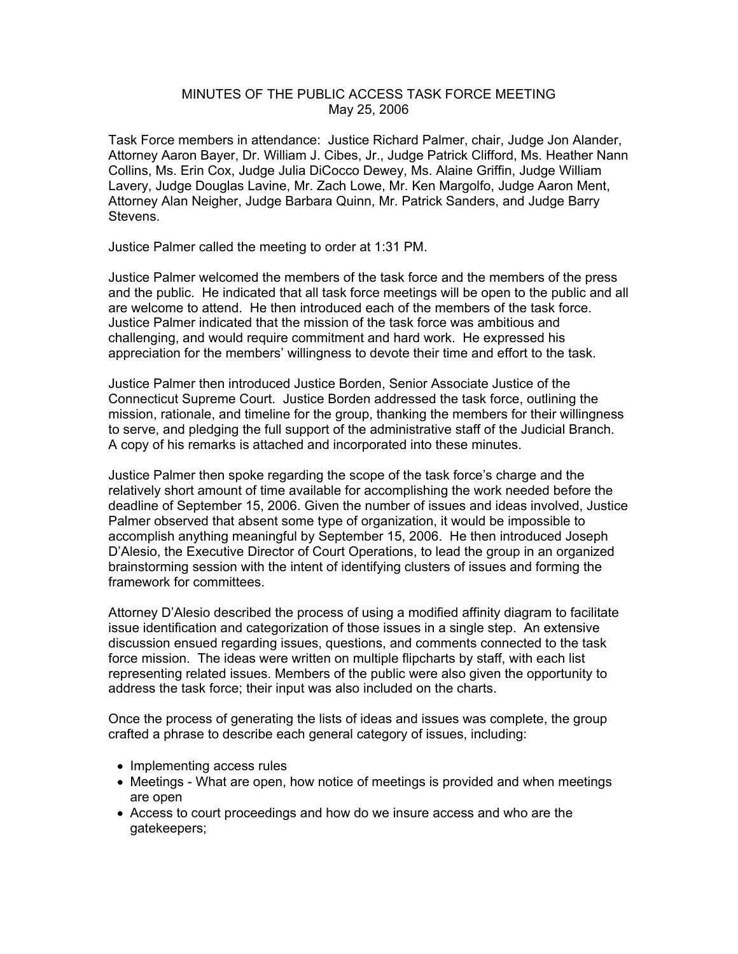## MINUTES OF THE PUBLIC ACCESS TASK FORCE MEETING May 25, 2006

Task Force members in attendance: Justice Richard Palmer, chair, Judge Jon Alander, Attorney Aaron Bayer, Dr. William J. Cibes, Jr., Judge Patrick Clifford, Ms. Heather Nann Collins, Ms. Erin Cox, Judge Julia DiCocco Dewey, Ms. Alaine Griffin, Judge William Lavery, Judge Douglas Lavine, Mr. Zach Lowe, Mr. Ken Margolfo, Judge Aaron Ment, Attorney Alan Neigher, Judge Barbara Quinn, Mr. Patrick Sanders, and Judge Barry Stevens.

Justice Palmer called the meeting to order at 1:31 PM.

Justice Palmer welcomed the members of the task force and the members of the press and the public. He indicated that all task force meetings will be open to the public and all are welcome to attend. He then introduced each of the members of the task force. Justice Palmer indicated that the mission of the task force was ambitious and challenging, and would require commitment and hard work. He expressed his appreciation for the members' willingness to devote their time and effort to the task.

Justice Palmer then introduced Justice Borden, Senior Associate Justice of the Connecticut Supreme Court. Justice Borden addressed the task force, outlining the mission, rationale, and timeline for the group, thanking the members for their willingness to serve, and pledging the full support of the administrative staff of the Judicial Branch. A copy of his remarks is attached and incorporated into these minutes.

Justice Palmer then spoke regarding the scope of the task force's charge and the relatively short amount of time available for accomplishing the work needed before the deadline of September 15, 2006. Given the number of issues and ideas involved, Justice Palmer observed that absent some type of organization, it would be impossible to accomplish anything meaningful by September 15, 2006. He then introduced Joseph D'Alesio, the Executive Director of Court Operations, to lead the group in an organized brainstorming session with the intent of identifying clusters of issues and forming the framework for committees.

Attorney D'Alesio described the process of using a modified affinity diagram to facilitate issue identification and categorization of those issues in a single step. An extensive discussion ensued regarding issues, questions, and comments connected to the task force mission. The ideas were written on multiple flipcharts by staff, with each list representing related issues. Members of the public were also given the opportunity to address the task force; their input was also included on the charts.

Once the process of generating the lists of ideas and issues was complete, the group crafted a phrase to describe each general category of issues, including:

- Implementing access rules
- Meetings What are open, how notice of meetings is provided and when meetings are open
- Access to court proceedings and how do we insure access and who are the gatekeepers;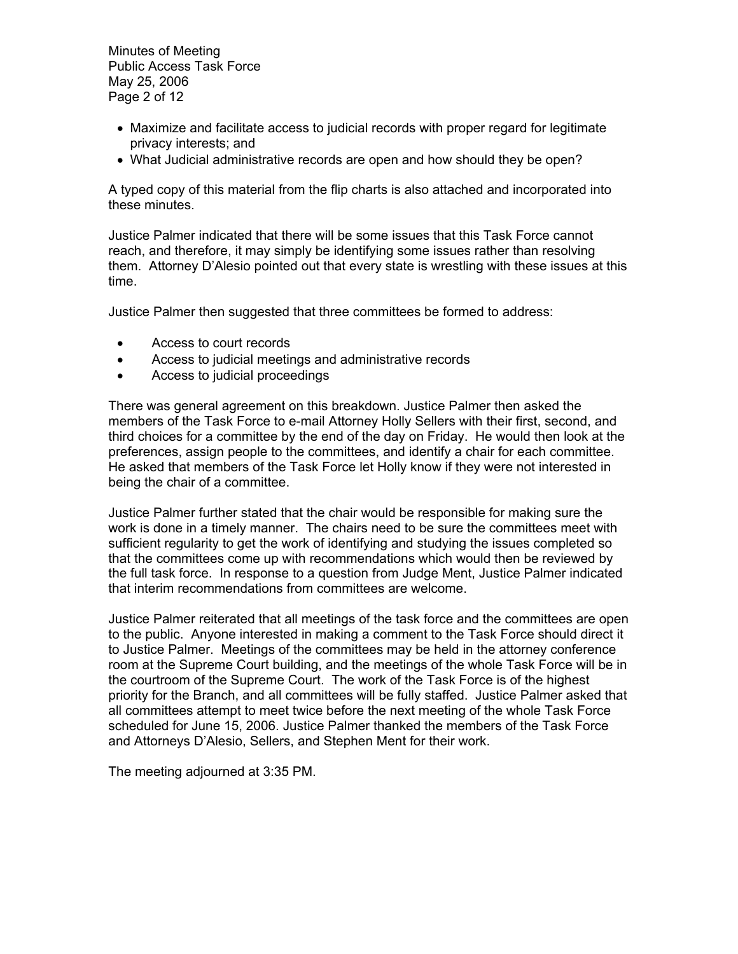Minutes of Meeting Public Access Task Force May 25, 2006 Page 2 of 12

- Maximize and facilitate access to judicial records with proper regard for legitimate privacy interests; and
- What Judicial administrative records are open and how should they be open?

A typed copy of this material from the flip charts is also attached and incorporated into these minutes.

Justice Palmer indicated that there will be some issues that this Task Force cannot reach, and therefore, it may simply be identifying some issues rather than resolving them. Attorney D'Alesio pointed out that every state is wrestling with these issues at this time.

Justice Palmer then suggested that three committees be formed to address:

- Access to court records
- Access to judicial meetings and administrative records
- Access to judicial proceedings

There was general agreement on this breakdown. Justice Palmer then asked the members of the Task Force to e-mail Attorney Holly Sellers with their first, second, and third choices for a committee by the end of the day on Friday. He would then look at the preferences, assign people to the committees, and identify a chair for each committee. He asked that members of the Task Force let Holly know if they were not interested in being the chair of a committee.

Justice Palmer further stated that the chair would be responsible for making sure the work is done in a timely manner. The chairs need to be sure the committees meet with sufficient regularity to get the work of identifying and studying the issues completed so that the committees come up with recommendations which would then be reviewed by the full task force. In response to a question from Judge Ment, Justice Palmer indicated that interim recommendations from committees are welcome.

Justice Palmer reiterated that all meetings of the task force and the committees are open to the public. Anyone interested in making a comment to the Task Force should direct it to Justice Palmer. Meetings of the committees may be held in the attorney conference room at the Supreme Court building, and the meetings of the whole Task Force will be in the courtroom of the Supreme Court. The work of the Task Force is of the highest priority for the Branch, and all committees will be fully staffed. Justice Palmer asked that all committees attempt to meet twice before the next meeting of the whole Task Force scheduled for June 15, 2006. Justice Palmer thanked the members of the Task Force and Attorneys D'Alesio, Sellers, and Stephen Ment for their work.

The meeting adjourned at 3:35 PM.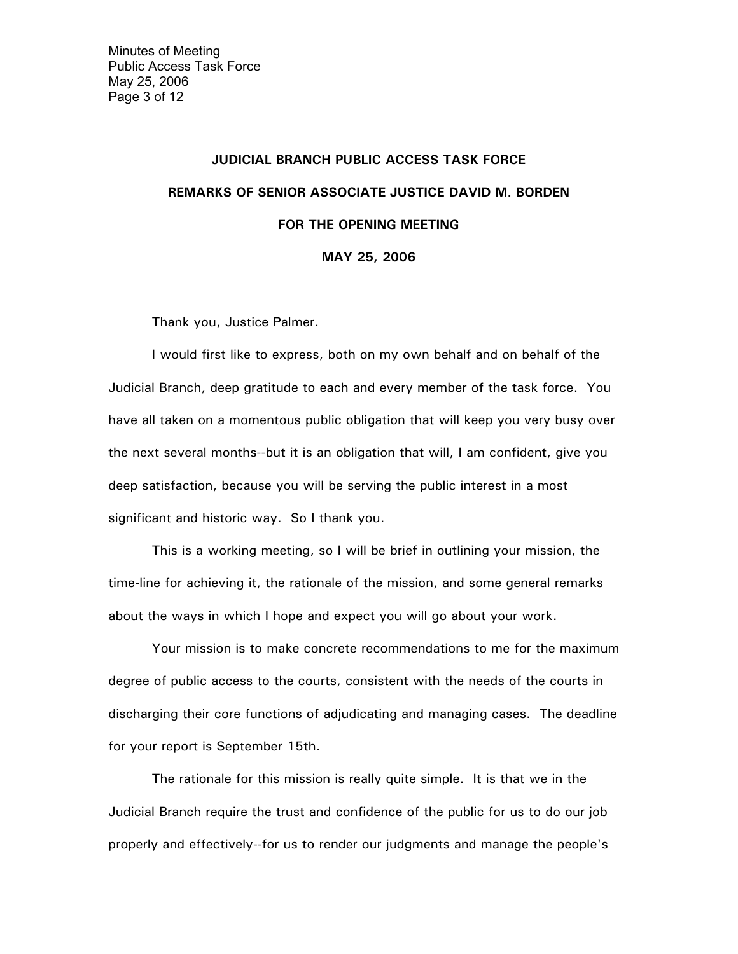## **JUDICIAL BRANCH PUBLIC ACCESS TASK FORCE REMARKS OF SENIOR ASSOCIATE JUSTICE DAVID M. BORDEN FOR THE OPENING MEETING MAY 25, 2006**

Thank you, Justice Palmer.

 I would first like to express, both on my own behalf and on behalf of the Judicial Branch, deep gratitude to each and every member of the task force. You have all taken on a momentous public obligation that will keep you very busy over the next several months--but it is an obligation that will, I am confident, give you deep satisfaction, because you will be serving the public interest in a most significant and historic way. So I thank you.

 This is a working meeting, so I will be brief in outlining your mission, the time-line for achieving it, the rationale of the mission, and some general remarks about the ways in which I hope and expect you will go about your work.

 Your mission is to make concrete recommendations to me for the maximum degree of public access to the courts, consistent with the needs of the courts in discharging their core functions of adjudicating and managing cases. The deadline for your report is September 15th.

 The rationale for this mission is really quite simple. It is that we in the Judicial Branch require the trust and confidence of the public for us to do our job properly and effectively--for us to render our judgments and manage the people's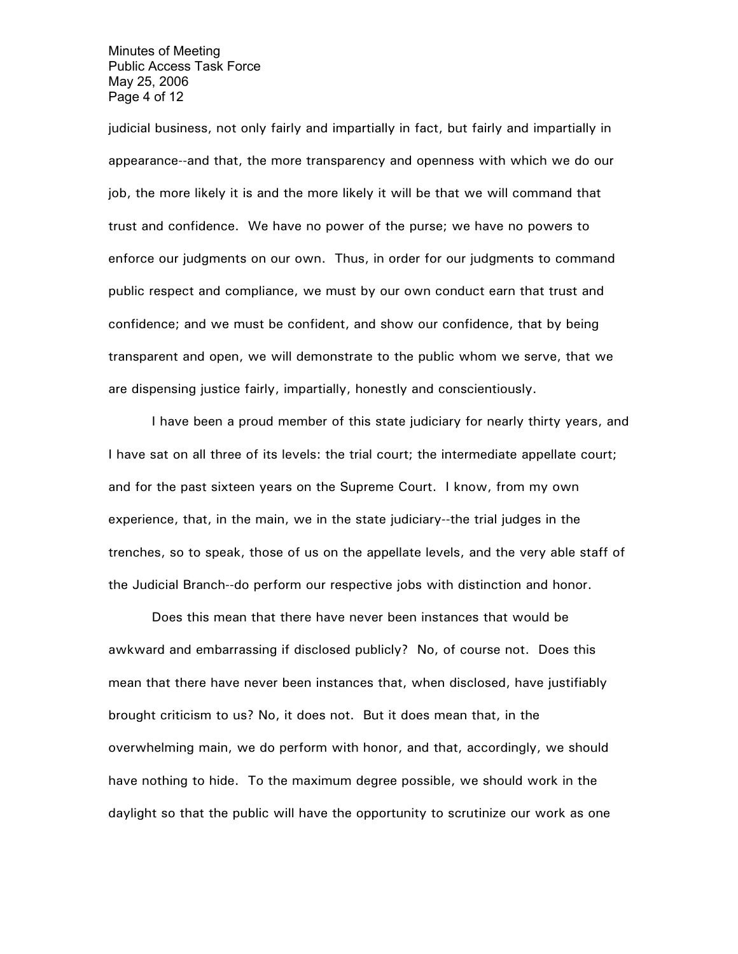Minutes of Meeting Public Access Task Force May 25, 2006 Page 4 of 12

judicial business, not only fairly and impartially in fact, but fairly and impartially in appearance--and that, the more transparency and openness with which we do our job, the more likely it is and the more likely it will be that we will command that trust and confidence. We have no power of the purse; we have no powers to enforce our judgments on our own. Thus, in order for our judgments to command public respect and compliance, we must by our own conduct earn that trust and confidence; and we must be confident, and show our confidence, that by being transparent and open, we will demonstrate to the public whom we serve, that we are dispensing justice fairly, impartially, honestly and conscientiously.

 I have been a proud member of this state judiciary for nearly thirty years, and I have sat on all three of its levels: the trial court; the intermediate appellate court; and for the past sixteen years on the Supreme Court. I know, from my own experience, that, in the main, we in the state judiciary--the trial judges in the trenches, so to speak, those of us on the appellate levels, and the very able staff of the Judicial Branch--do perform our respective jobs with distinction and honor.

 Does this mean that there have never been instances that would be awkward and embarrassing if disclosed publicly? No, of course not. Does this mean that there have never been instances that, when disclosed, have justifiably brought criticism to us? No, it does not. But it does mean that, in the overwhelming main, we do perform with honor, and that, accordingly, we should have nothing to hide. To the maximum degree possible, we should work in the daylight so that the public will have the opportunity to scrutinize our work as one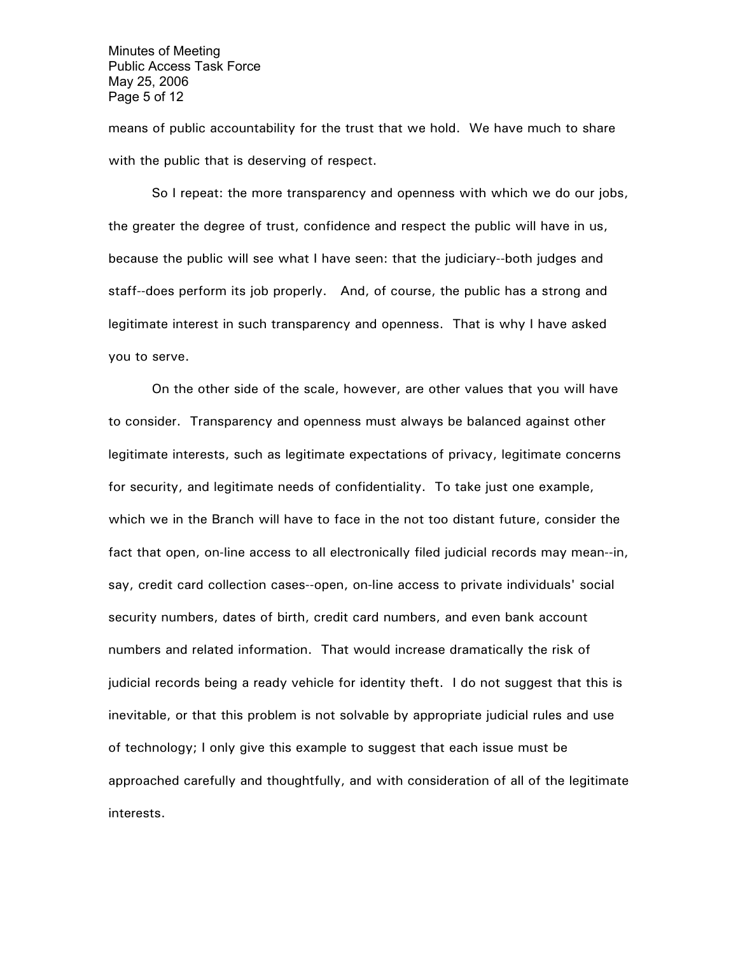Minutes of Meeting Public Access Task Force May 25, 2006 Page 5 of 12

means of public accountability for the trust that we hold. We have much to share with the public that is deserving of respect.

 So I repeat: the more transparency and openness with which we do our jobs, the greater the degree of trust, confidence and respect the public will have in us, because the public will see what I have seen: that the judiciary--both judges and staff--does perform its job properly. And, of course, the public has a strong and legitimate interest in such transparency and openness. That is why I have asked you to serve.

 On the other side of the scale, however, are other values that you will have to consider. Transparency and openness must always be balanced against other legitimate interests, such as legitimate expectations of privacy, legitimate concerns for security, and legitimate needs of confidentiality. To take just one example, which we in the Branch will have to face in the not too distant future, consider the fact that open, on-line access to all electronically filed judicial records may mean--in, say, credit card collection cases--open, on-line access to private individuals' social security numbers, dates of birth, credit card numbers, and even bank account numbers and related information. That would increase dramatically the risk of judicial records being a ready vehicle for identity theft. I do not suggest that this is inevitable, or that this problem is not solvable by appropriate judicial rules and use of technology; I only give this example to suggest that each issue must be approached carefully and thoughtfully, and with consideration of all of the legitimate interests.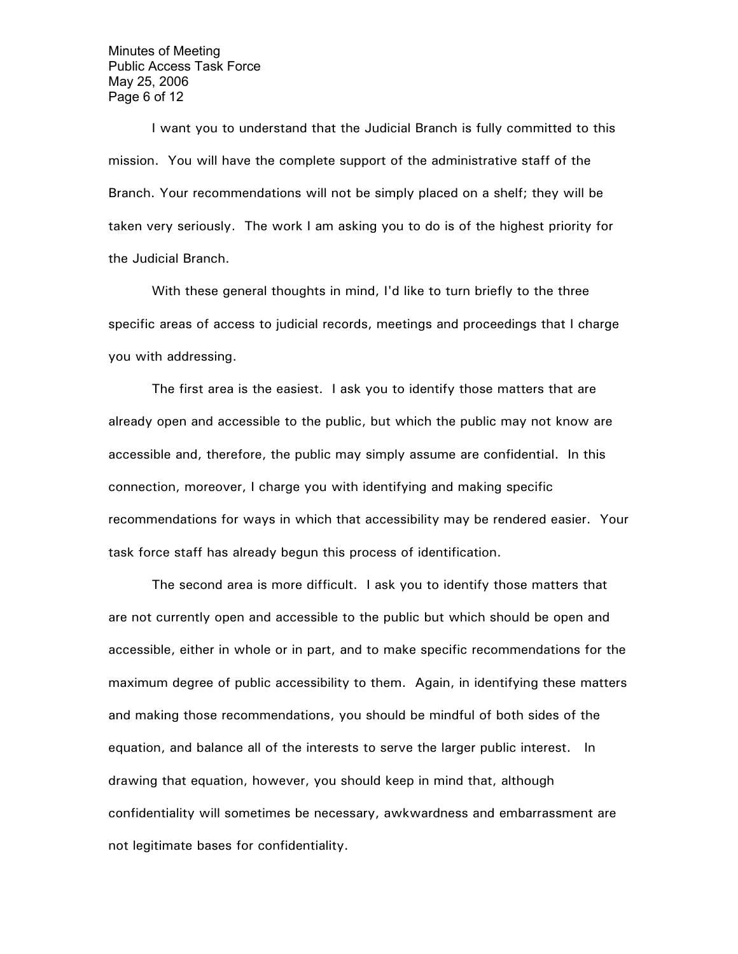Minutes of Meeting Public Access Task Force May 25, 2006 Page 6 of 12

 I want you to understand that the Judicial Branch is fully committed to this mission. You will have the complete support of the administrative staff of the Branch. Your recommendations will not be simply placed on a shelf; they will be taken very seriously. The work I am asking you to do is of the highest priority for the Judicial Branch.

 With these general thoughts in mind, I'd like to turn briefly to the three specific areas of access to judicial records, meetings and proceedings that I charge you with addressing.

 The first area is the easiest. I ask you to identify those matters that are already open and accessible to the public, but which the public may not know are accessible and, therefore, the public may simply assume are confidential. In this connection, moreover, I charge you with identifying and making specific recommendations for ways in which that accessibility may be rendered easier. Your task force staff has already begun this process of identification.

 The second area is more difficult. I ask you to identify those matters that are not currently open and accessible to the public but which should be open and accessible, either in whole or in part, and to make specific recommendations for the maximum degree of public accessibility to them. Again, in identifying these matters and making those recommendations, you should be mindful of both sides of the equation, and balance all of the interests to serve the larger public interest. In drawing that equation, however, you should keep in mind that, although confidentiality will sometimes be necessary, awkwardness and embarrassment are not legitimate bases for confidentiality.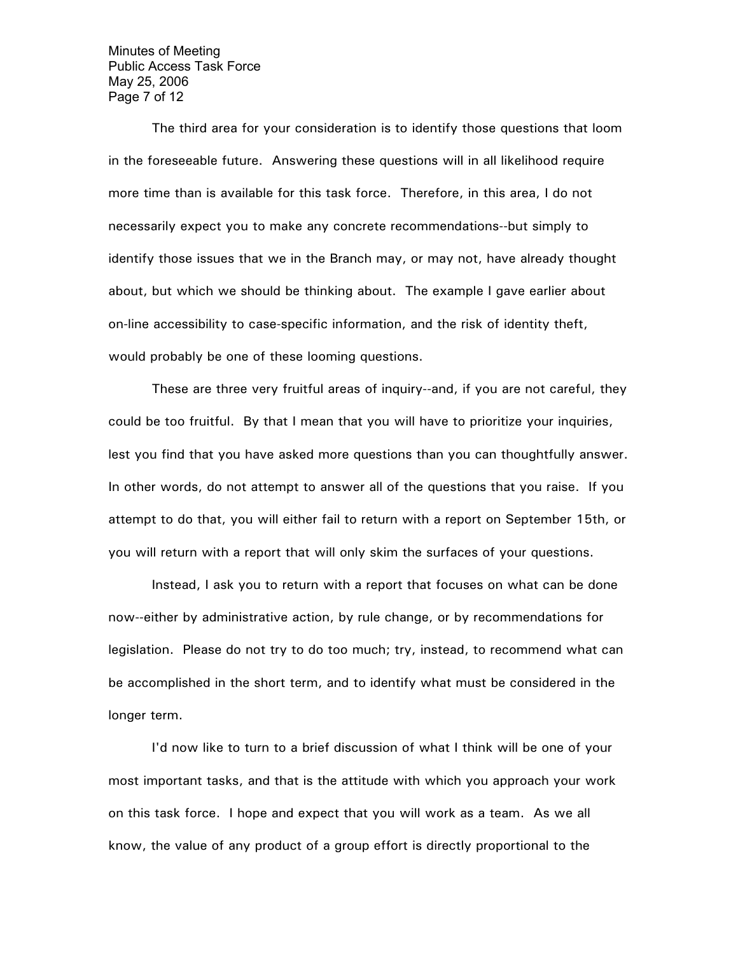Minutes of Meeting Public Access Task Force May 25, 2006 Page 7 of 12

 The third area for your consideration is to identify those questions that loom in the foreseeable future. Answering these questions will in all likelihood require more time than is available for this task force. Therefore, in this area, I do not necessarily expect you to make any concrete recommendations--but simply to identify those issues that we in the Branch may, or may not, have already thought about, but which we should be thinking about. The example I gave earlier about on-line accessibility to case-specific information, and the risk of identity theft, would probably be one of these looming questions.

 These are three very fruitful areas of inquiry--and, if you are not careful, they could be too fruitful. By that I mean that you will have to prioritize your inquiries, lest you find that you have asked more questions than you can thoughtfully answer. In other words, do not attempt to answer all of the questions that you raise. If you attempt to do that, you will either fail to return with a report on September 15th, or you will return with a report that will only skim the surfaces of your questions.

 Instead, I ask you to return with a report that focuses on what can be done now--either by administrative action, by rule change, or by recommendations for legislation. Please do not try to do too much; try, instead, to recommend what can be accomplished in the short term, and to identify what must be considered in the longer term.

 I'd now like to turn to a brief discussion of what I think will be one of your most important tasks, and that is the attitude with which you approach your work on this task force. I hope and expect that you will work as a team. As we all know, the value of any product of a group effort is directly proportional to the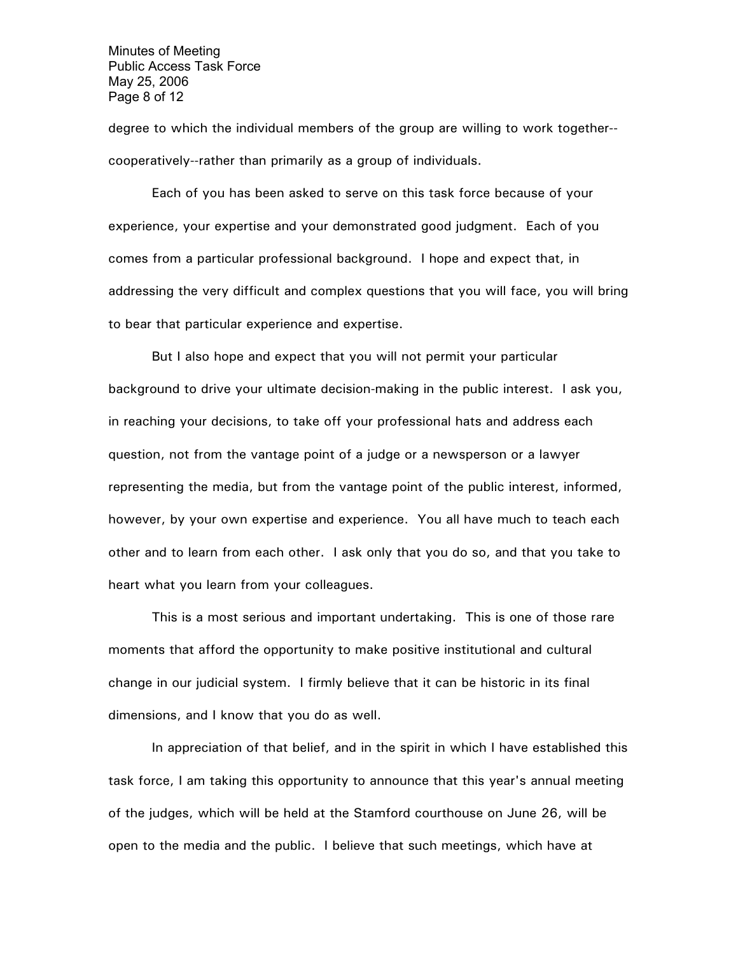Minutes of Meeting Public Access Task Force May 25, 2006 Page 8 of 12

degree to which the individual members of the group are willing to work together- cooperatively--rather than primarily as a group of individuals.

 Each of you has been asked to serve on this task force because of your experience, your expertise and your demonstrated good judgment. Each of you comes from a particular professional background. I hope and expect that, in addressing the very difficult and complex questions that you will face, you will bring to bear that particular experience and expertise.

 But I also hope and expect that you will not permit your particular background to drive your ultimate decision-making in the public interest. I ask you, in reaching your decisions, to take off your professional hats and address each question, not from the vantage point of a judge or a newsperson or a lawyer representing the media, but from the vantage point of the public interest, informed, however, by your own expertise and experience. You all have much to teach each other and to learn from each other. I ask only that you do so, and that you take to heart what you learn from your colleagues.

 This is a most serious and important undertaking. This is one of those rare moments that afford the opportunity to make positive institutional and cultural change in our judicial system. I firmly believe that it can be historic in its final dimensions, and I know that you do as well.

 In appreciation of that belief, and in the spirit in which I have established this task force, I am taking this opportunity to announce that this year's annual meeting of the judges, which will be held at the Stamford courthouse on June 26, will be open to the media and the public. I believe that such meetings, which have at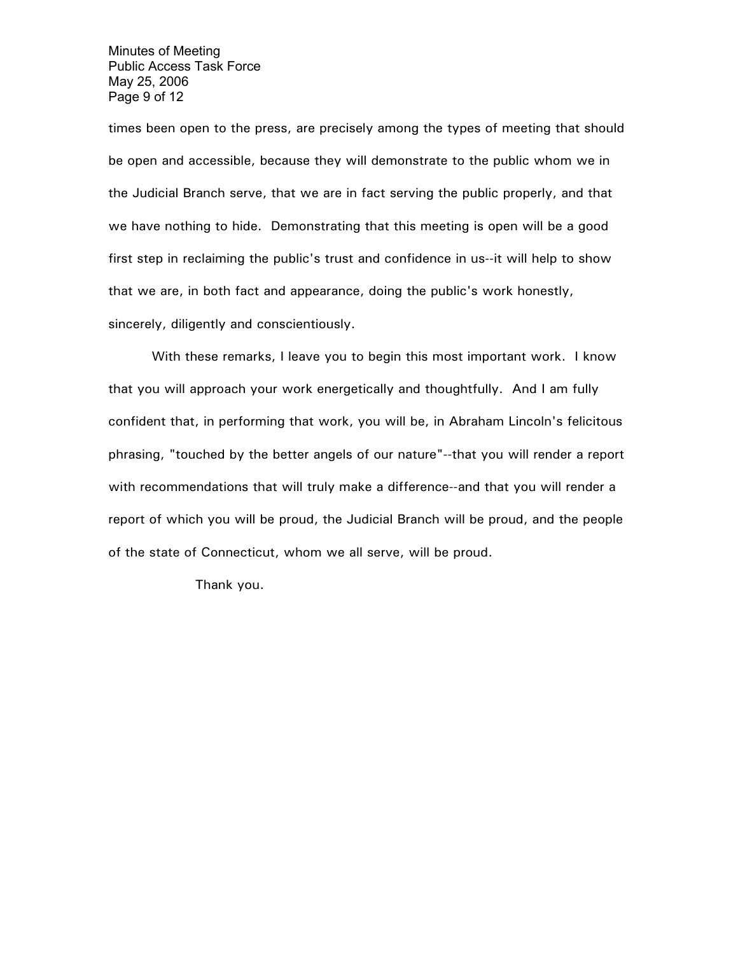Minutes of Meeting Public Access Task Force May 25, 2006 Page 9 of 12

times been open to the press, are precisely among the types of meeting that should be open and accessible, because they will demonstrate to the public whom we in the Judicial Branch serve, that we are in fact serving the public properly, and that we have nothing to hide. Demonstrating that this meeting is open will be a good first step in reclaiming the public's trust and confidence in us--it will help to show that we are, in both fact and appearance, doing the public's work honestly, sincerely, diligently and conscientiously.

 With these remarks, I leave you to begin this most important work. I know that you will approach your work energetically and thoughtfully. And I am fully confident that, in performing that work, you will be, in Abraham Lincoln's felicitous phrasing, "touched by the better angels of our nature"--that you will render a report with recommendations that will truly make a difference--and that you will render a report of which you will be proud, the Judicial Branch will be proud, and the people of the state of Connecticut, whom we all serve, will be proud.

Thank you.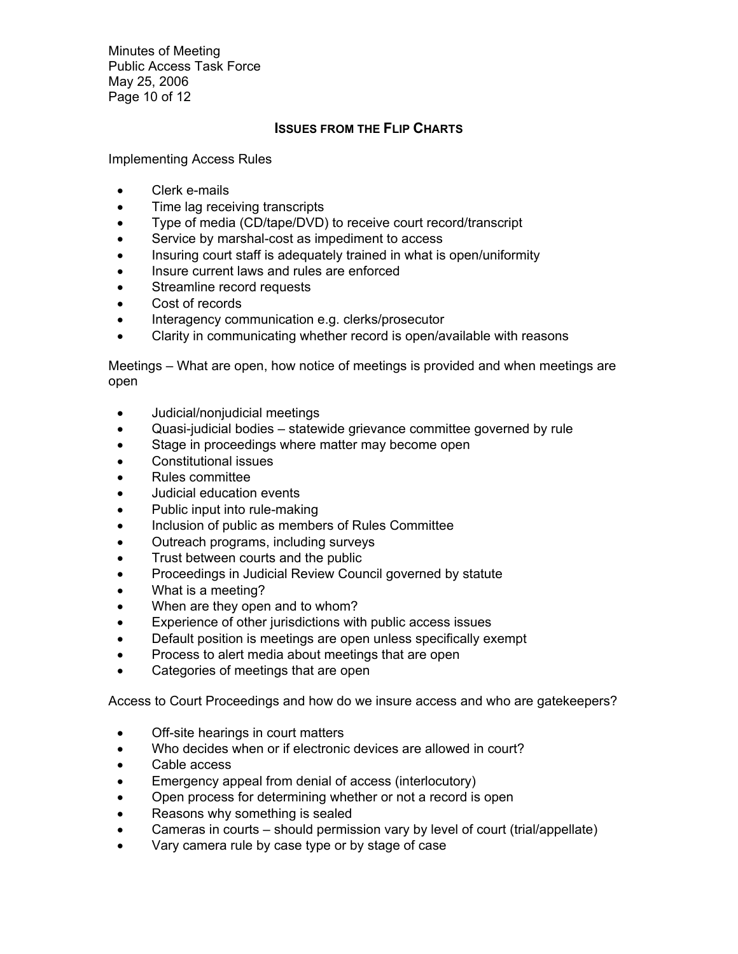Minutes of Meeting Public Access Task Force May 25, 2006 Page 10 of 12

## **ISSUES FROM THE FLIP CHARTS**

Implementing Access Rules

- Clerk e-mails
- Time lag receiving transcripts
- Type of media (CD/tape/DVD) to receive court record/transcript
- Service by marshal-cost as impediment to access
- Insuring court staff is adequately trained in what is open/uniformity
- Insure current laws and rules are enforced
- Streamline record requests
- Cost of records
- Interagency communication e.g. clerks/prosecutor
- Clarity in communicating whether record is open/available with reasons

Meetings – What are open, how notice of meetings is provided and when meetings are open

- Judicial/nonjudicial meetings
- Quasi-judicial bodies statewide grievance committee governed by rule
- Stage in proceedings where matter may become open
- Constitutional issues
- Rules committee
- Judicial education events
- Public input into rule-making
- Inclusion of public as members of Rules Committee
- Outreach programs, including surveys
- Trust between courts and the public
- Proceedings in Judicial Review Council governed by statute
- What is a meeting?
- When are they open and to whom?
- Experience of other jurisdictions with public access issues
- Default position is meetings are open unless specifically exempt
- Process to alert media about meetings that are open
- Categories of meetings that are open

Access to Court Proceedings and how do we insure access and who are gatekeepers?

- Off-site hearings in court matters
- Who decides when or if electronic devices are allowed in court?
- Cable access
- Emergency appeal from denial of access (interlocutory)
- Open process for determining whether or not a record is open
- Reasons why something is sealed
- Cameras in courts should permission vary by level of court (trial/appellate)
- Vary camera rule by case type or by stage of case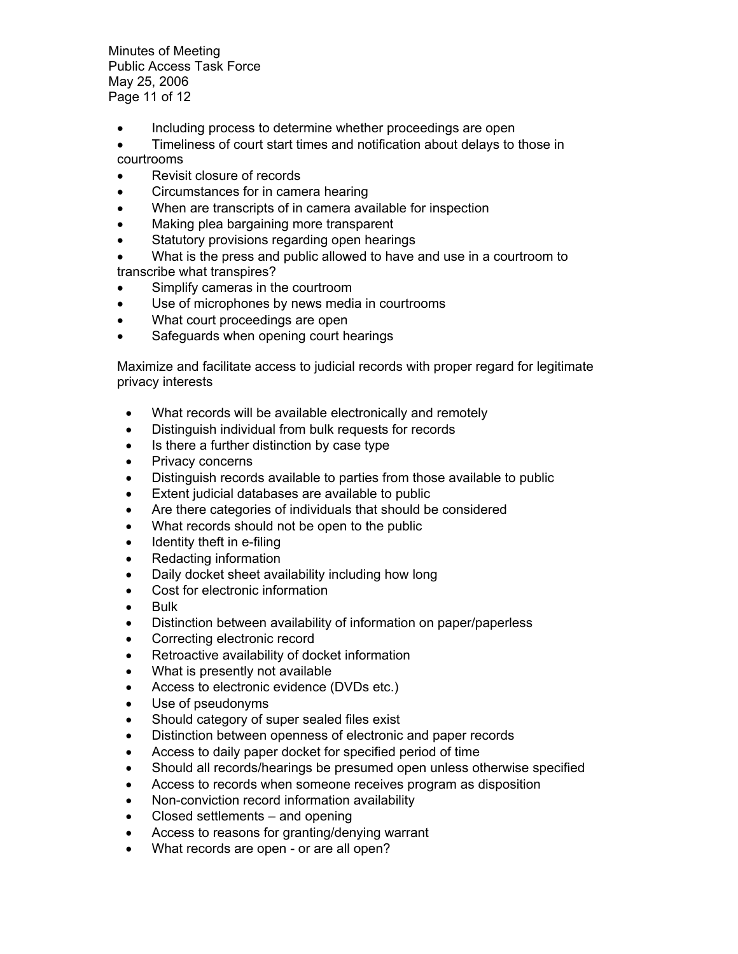Minutes of Meeting Public Access Task Force May 25, 2006 Page 11 of 12

- Including process to determine whether proceedings are open
- Timeliness of court start times and notification about delays to those in courtrooms
- Revisit closure of records
- Circumstances for in camera hearing
- When are transcripts of in camera available for inspection
- Making plea bargaining more transparent
- Statutory provisions regarding open hearings
- What is the press and public allowed to have and use in a courtroom to transcribe what transpires?
- Simplify cameras in the courtroom
- Use of microphones by news media in courtrooms
- What court proceedings are open
- Safeguards when opening court hearings

Maximize and facilitate access to judicial records with proper regard for legitimate privacy interests

- What records will be available electronically and remotely
- Distinguish individual from bulk requests for records
- Is there a further distinction by case type
- Privacy concerns
- Distinguish records available to parties from those available to public
- Extent judicial databases are available to public
- Are there categories of individuals that should be considered
- What records should not be open to the public
- Identity theft in e-filing
- Redacting information
- Daily docket sheet availability including how long
- Cost for electronic information
- Bulk
- Distinction between availability of information on paper/paperless
- Correcting electronic record
- Retroactive availability of docket information
- What is presently not available
- Access to electronic evidence (DVDs etc.)
- Use of pseudonyms
- Should category of super sealed files exist
- Distinction between openness of electronic and paper records
- Access to daily paper docket for specified period of time
- Should all records/hearings be presumed open unless otherwise specified
- Access to records when someone receives program as disposition
- Non-conviction record information availability
- Closed settlements and opening
- Access to reasons for granting/denying warrant
- What records are open or are all open?